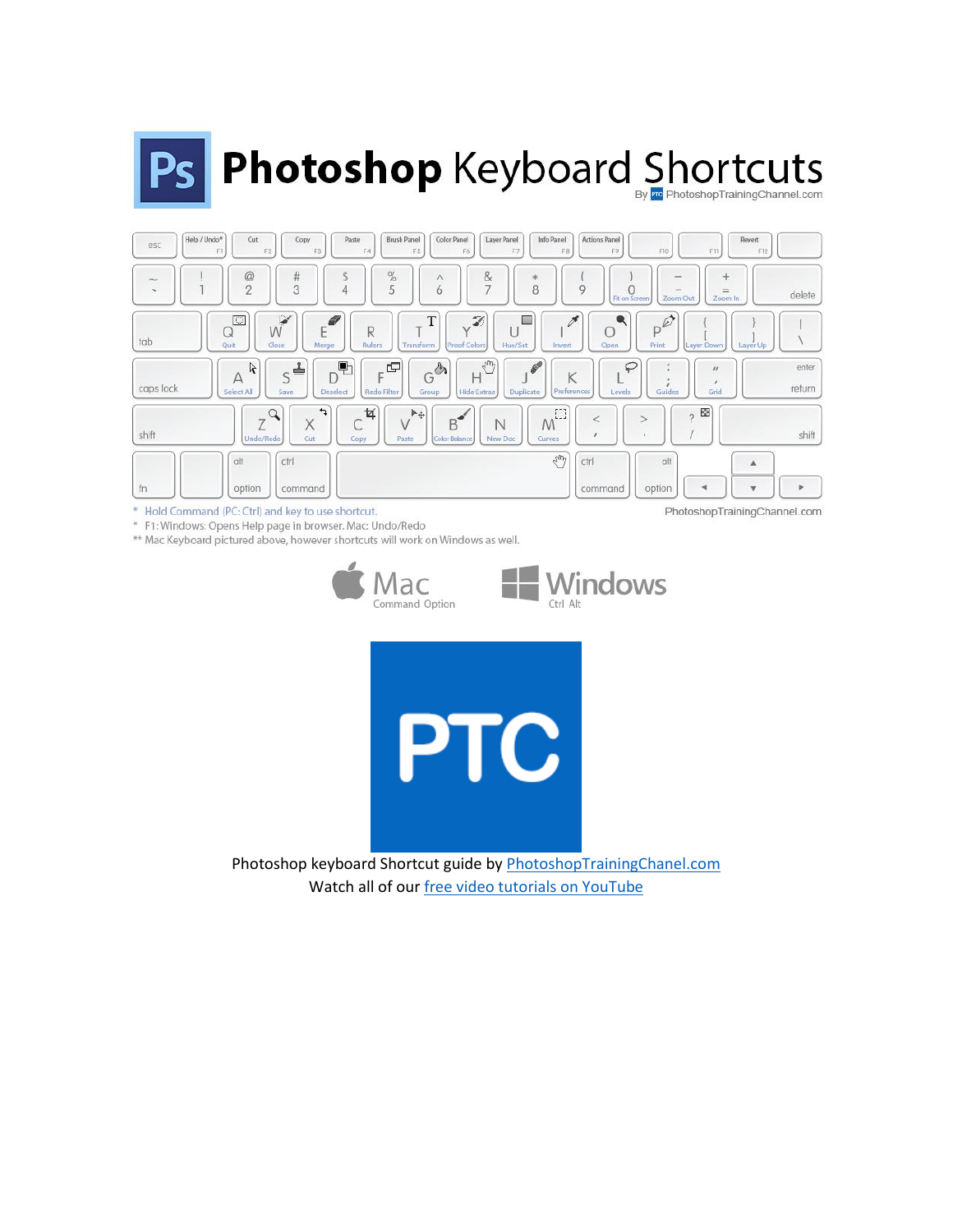# Ps Photoshop Keyboard Shortcuts



 $\scriptstyle\rm{w}$ Hold Command (PC: Ctrl) and key to use shortcut.

\* F1: Windows: Opens Help page in browser. Mac: Undo/Redo

\*\* Mac Keyboard pictured above, however shortcuts will work on Windows as well.







Photoshop keyboard Shortcut guide b[y PhotoshopTrainingChanel.com](https://photoshoptrainingchannel.com/) Watch all of ou[r free video tutorials on YouTube](https://www.youtube.com/user/photoshoptrainingch)

PhotoshopTrainingChannel.com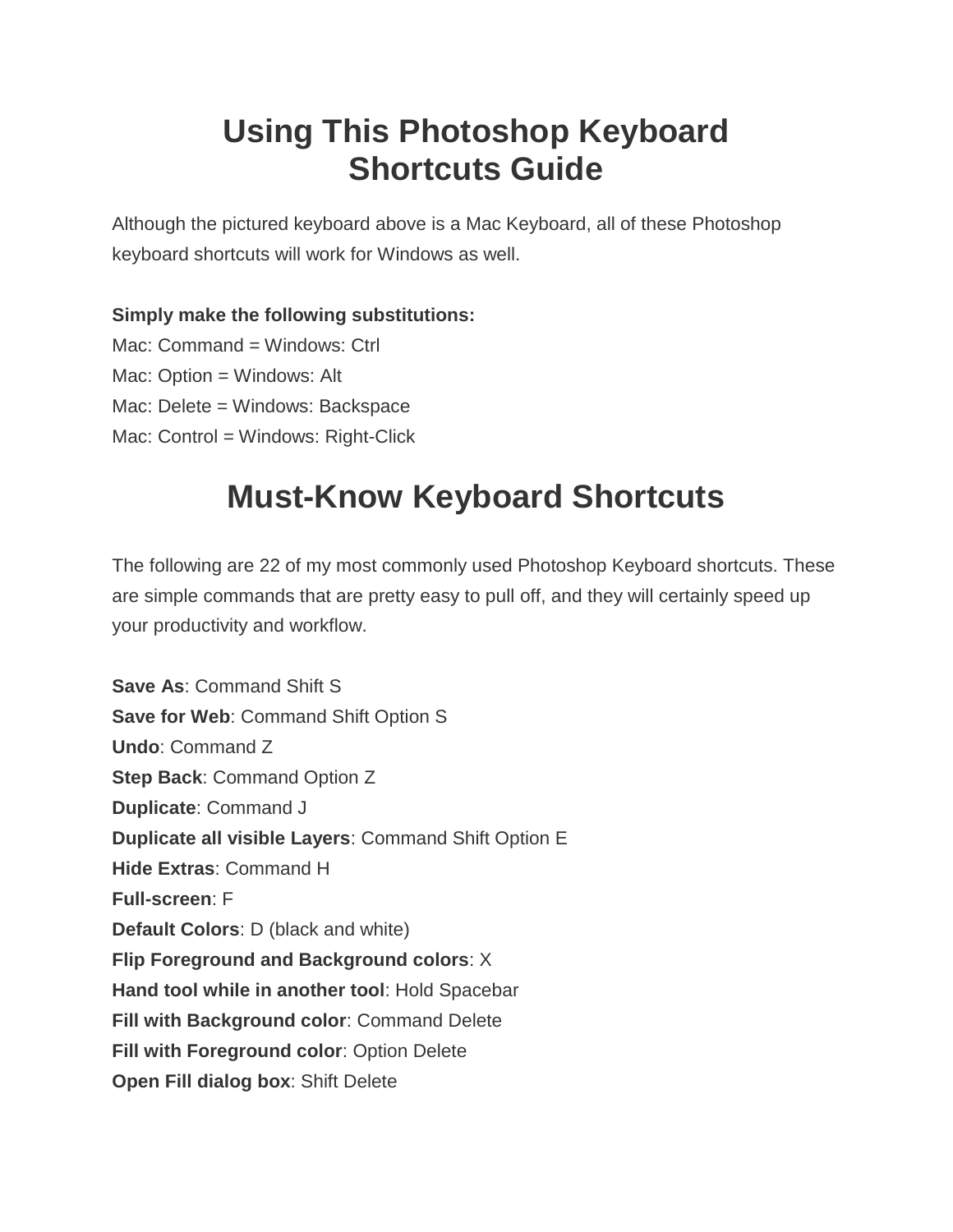# **Using This Photoshop Keyboard Shortcuts Guide**

Although the pictured keyboard above is a Mac Keyboard, all of these Photoshop keyboard shortcuts will work for Windows as well.

#### **Simply make the following substitutions:**

Mac: Command = Windows: Ctrl Mac: Option = Windows: Alt Mac: Delete = Windows: Backspace Mac: Control = Windows: Right-Click

# **Must-Know Keyboard Shortcuts**

The following are 22 of my most commonly used Photoshop Keyboard shortcuts. These are simple commands that are pretty easy to pull off, and they will certainly speed up your productivity and workflow.

**Save As**: Command Shift S **Save for Web**: Command Shift Option S **Undo**: Command Z **Step Back**: Command Option Z **Duplicate**: Command J **Duplicate all visible Layers**: Command Shift Option E **Hide Extras**: Command H **Full-screen**: F **Default Colors**: D (black and white) **Flip Foreground and Background colors**: X **Hand tool while in another tool**: Hold Spacebar **Fill with Background color**: Command Delete **Fill with Foreground color**: Option Delete **Open Fill dialog box**: Shift Delete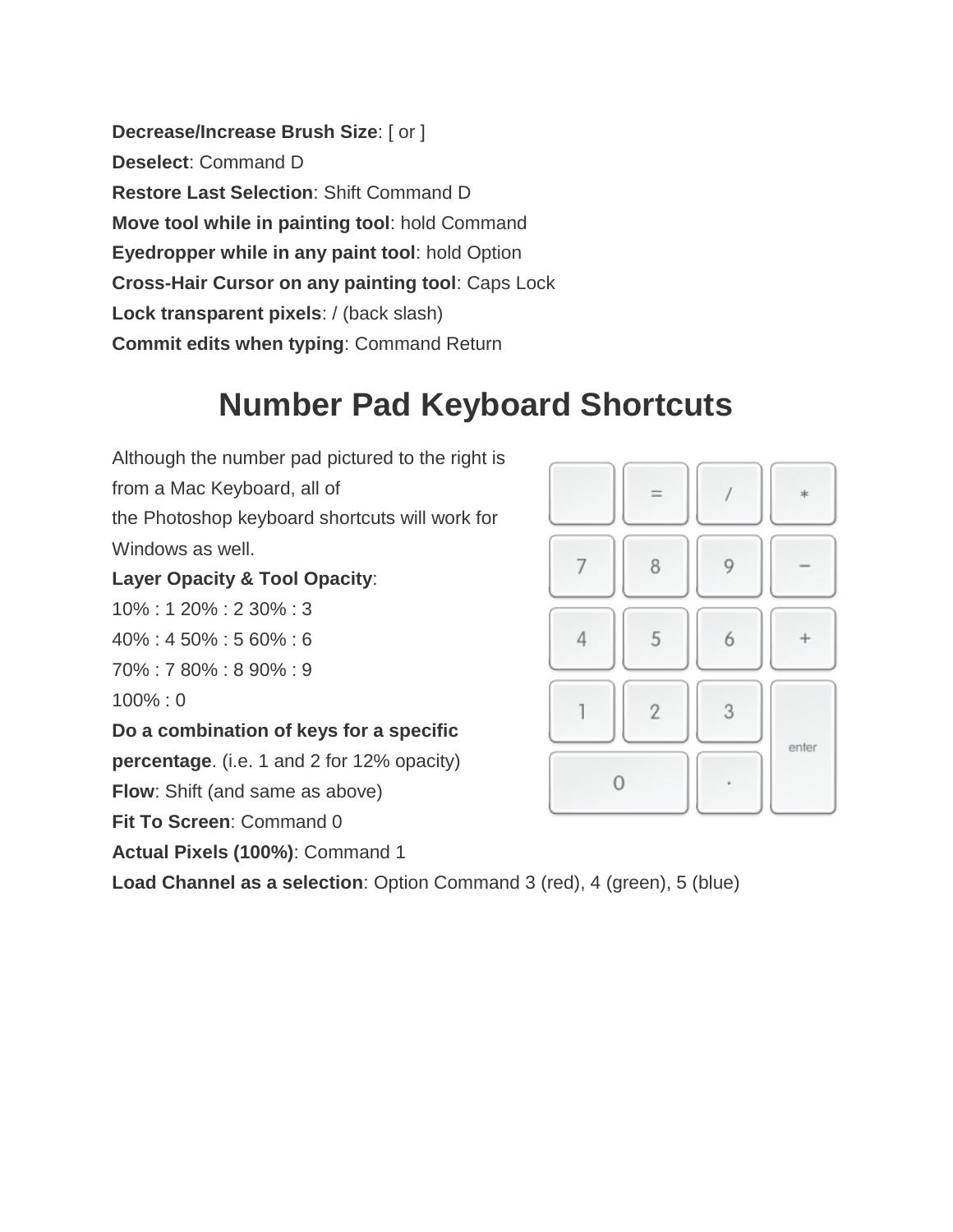**Decrease/Increase Brush Size**: [ or ] **Deselect**: Command D **Restore Last Selection**: Shift Command D **Move tool while in painting tool**: hold Command **Eyedropper while in any paint tool**: hold Option **Cross-Hair Cursor on any painting tool**: Caps Lock **Lock transparent pixels**: / (back slash) **Commit edits when typing**: Command Return

# **Number Pad Keyboard Shortcuts**

Although the number pad pictured to the right is from a Mac Keyboard, all of the Photoshop keyboard shortcuts will work for Windows as well.

#### **Layer Opacity & Tool Opacity**:

10% : 1 20% : 2 30% : 3

40% : 4 50% : 5 60% : 6

70% : 7 80% : 8 90% : 9

100% : 0

**Do a combination of keys for a specific** 

**percentage**. (i.e. 1 and 2 for 12% opacity)

**Flow**: Shift (and same as above)

**Fit To Screen**: Command 0

**Actual Pixels (100%)**: Command 1

**Load Channel as a selection**: Option Command 3 (red), 4 (green), 5 (blue)

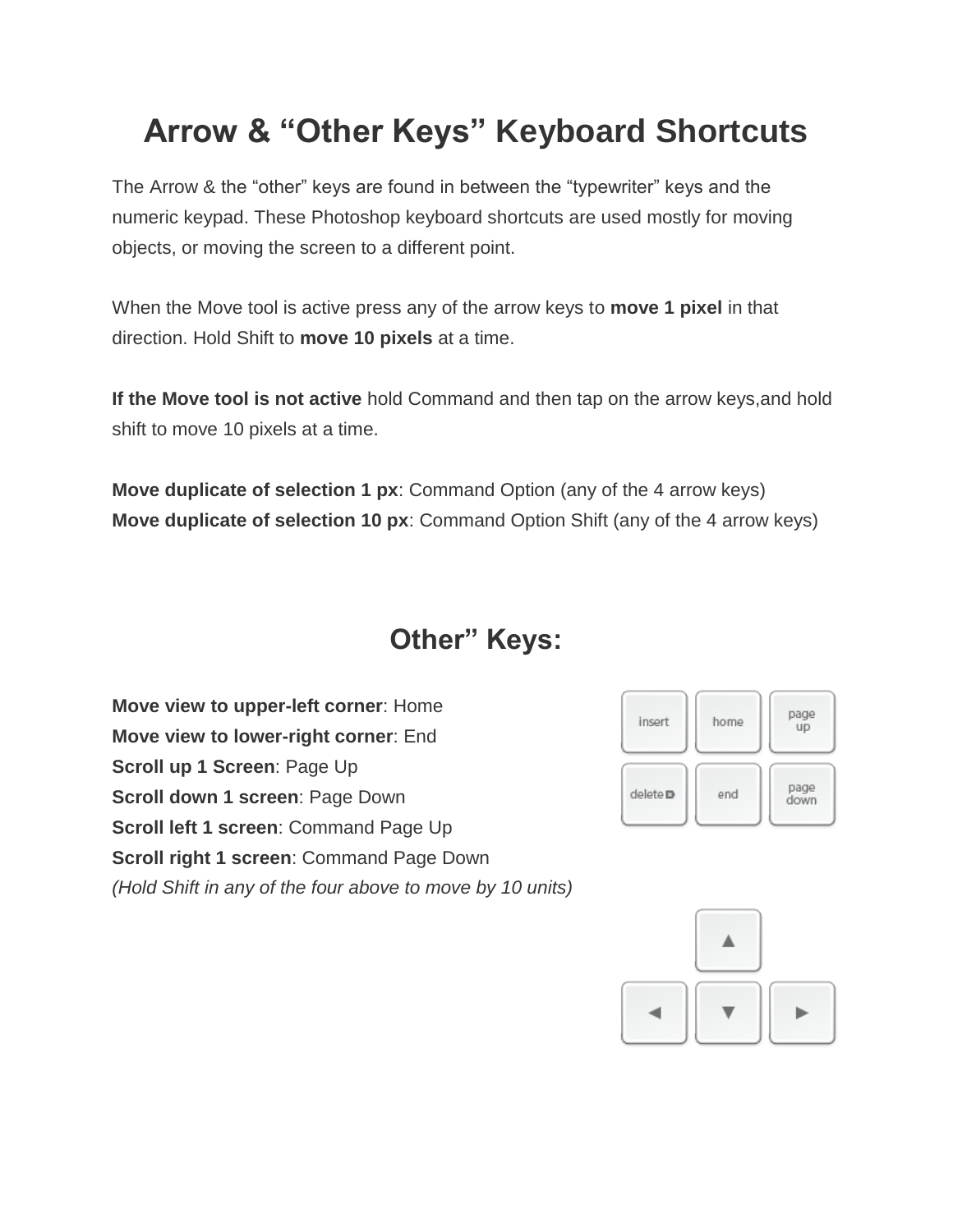# **Arrow & "Other Keys" Keyboard Shortcuts**

The Arrow & the "other" keys are found in between the "typewriter" keys and the numeric keypad. These Photoshop keyboard shortcuts are used mostly for moving objects, or moving the screen to a different point.

When the Move tool is active press any of the arrow keys to **move 1 pixel** in that direction. Hold Shift to **move 10 pixels** at a time.

**If the Move tool is not active** hold Command and then tap on the arrow keys,and hold shift to move 10 pixels at a time.

**Move duplicate of selection 1 px**: Command Option (any of the 4 arrow keys) **Move duplicate of selection 10 px**: Command Option Shift (any of the 4 arrow keys)

#### **Other" Keys:**

**Move view to upper-left corner**: Home **Move view to lower-right corner**: End **Scroll up 1 Screen**: Page Up **Scroll down 1 screen**: Page Down **Scroll left 1 screen**: Command Page Up **Scroll right 1 screen**: Command Page Down *(Hold Shift in any of the four above to move by 10 units)*



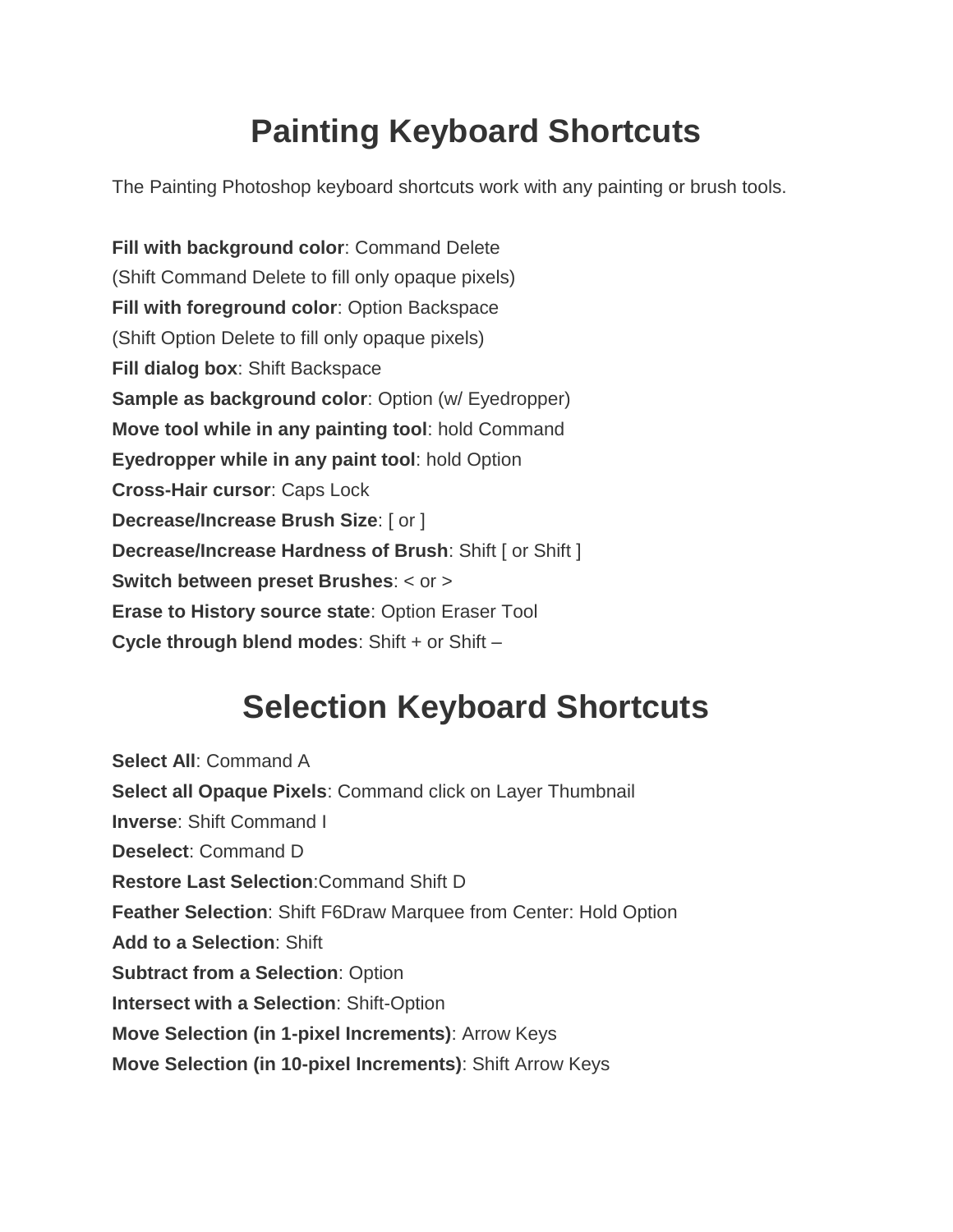# **Painting Keyboard Shortcuts**

The Painting Photoshop keyboard shortcuts work with any painting or brush tools.

**Fill with background color**: Command Delete (Shift Command Delete to fill only opaque pixels) **Fill with foreground color**: Option Backspace (Shift Option Delete to fill only opaque pixels) **Fill dialog box**: Shift Backspace **Sample as background color**: Option (w/ Eyedropper) **Move tool while in any painting tool**: hold Command **Eyedropper while in any paint tool**: hold Option **Cross-Hair cursor**: Caps Lock **Decrease/Increase Brush Size**: [ or ] **Decrease/Increase Hardness of Brush: Shift [ or Shift ] Switch between preset Brushes**: < or > **Erase to History source state**: Option Eraser Tool **Cycle through blend modes: Shift + or Shift -**

# **Selection Keyboard Shortcuts**

**Select All**: Command A **Select all Opaque Pixels**: Command click on Layer Thumbnail **Inverse**: Shift Command I **Deselect**: Command D **Restore Last Selection**:Command Shift D **Feather Selection**: Shift F6Draw Marquee from Center: Hold Option **Add to a Selection**: Shift **Subtract from a Selection**: Option **Intersect with a Selection**: Shift-Option **Move Selection (in 1-pixel Increments)**: Arrow Keys **Move Selection (in 10-pixel Increments)**: Shift Arrow Keys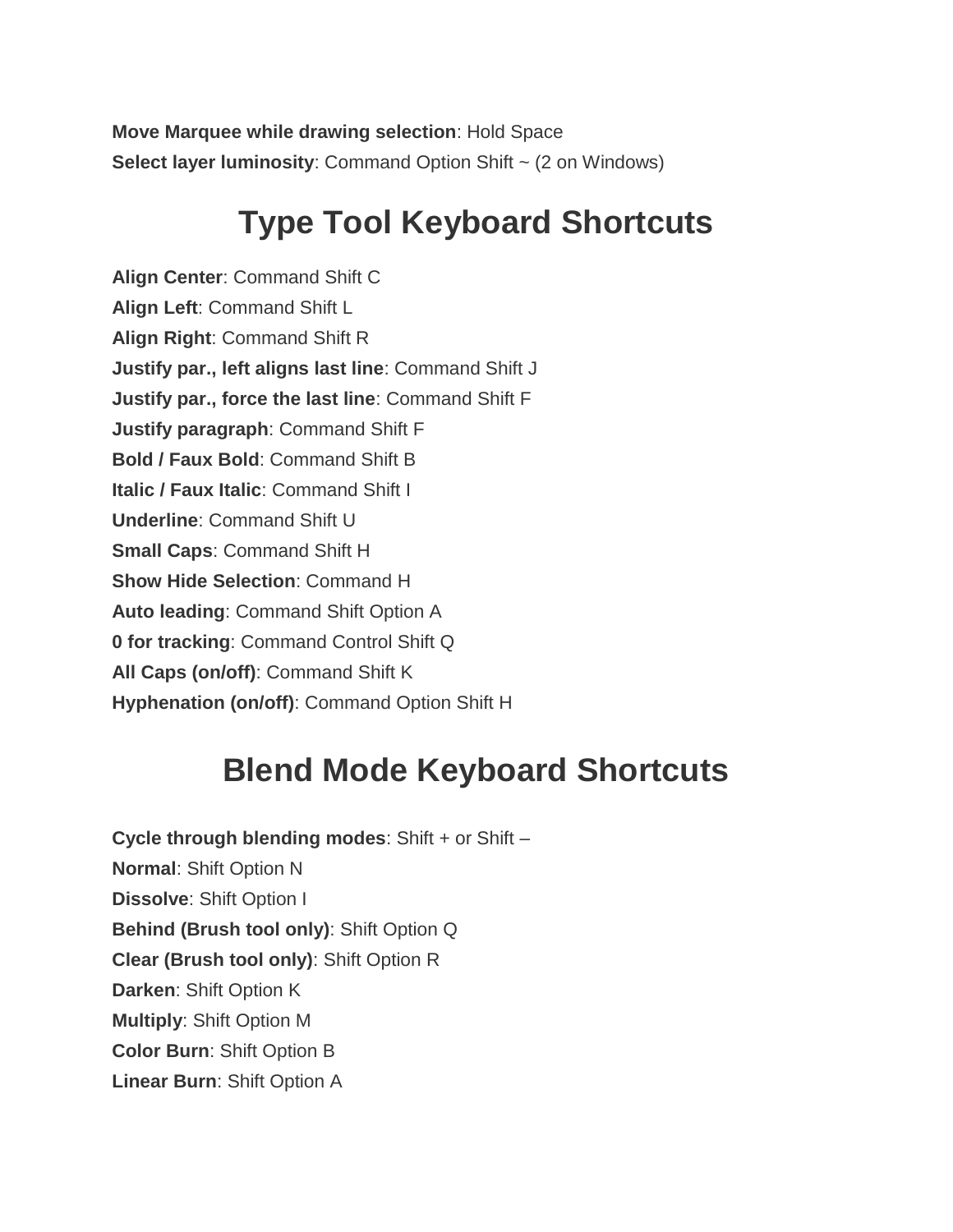**Move Marquee while drawing selection**: Hold Space **Select layer luminosity:** Command Option Shift ~ (2 on Windows)

# **Type Tool Keyboard Shortcuts**

**Align Center**: Command Shift C **Align Left**: Command Shift L **Align Right**: Command Shift R **Justify par., left aligns last line**: Command Shift J **Justify par., force the last line**: Command Shift F **Justify paragraph**: Command Shift F **Bold / Faux Bold**: Command Shift B **Italic / Faux Italic**: Command Shift I **Underline**: Command Shift U **Small Caps**: Command Shift H **Show Hide Selection**: Command H **Auto leading**: Command Shift Option A **0 for tracking**: Command Control Shift Q **All Caps (on/off)**: Command Shift K **Hyphenation (on/off)**: Command Option Shift H

## **Blend Mode Keyboard Shortcuts**

**Cycle through blending modes**: Shift + or Shift – **Normal**: Shift Option N **Dissolve**: Shift Option I **Behind (Brush tool only)**: Shift Option Q **Clear (Brush tool only)**: Shift Option R **Darken**: Shift Option K **Multiply**: Shift Option M **Color Burn**: Shift Option B **Linear Burn**: Shift Option A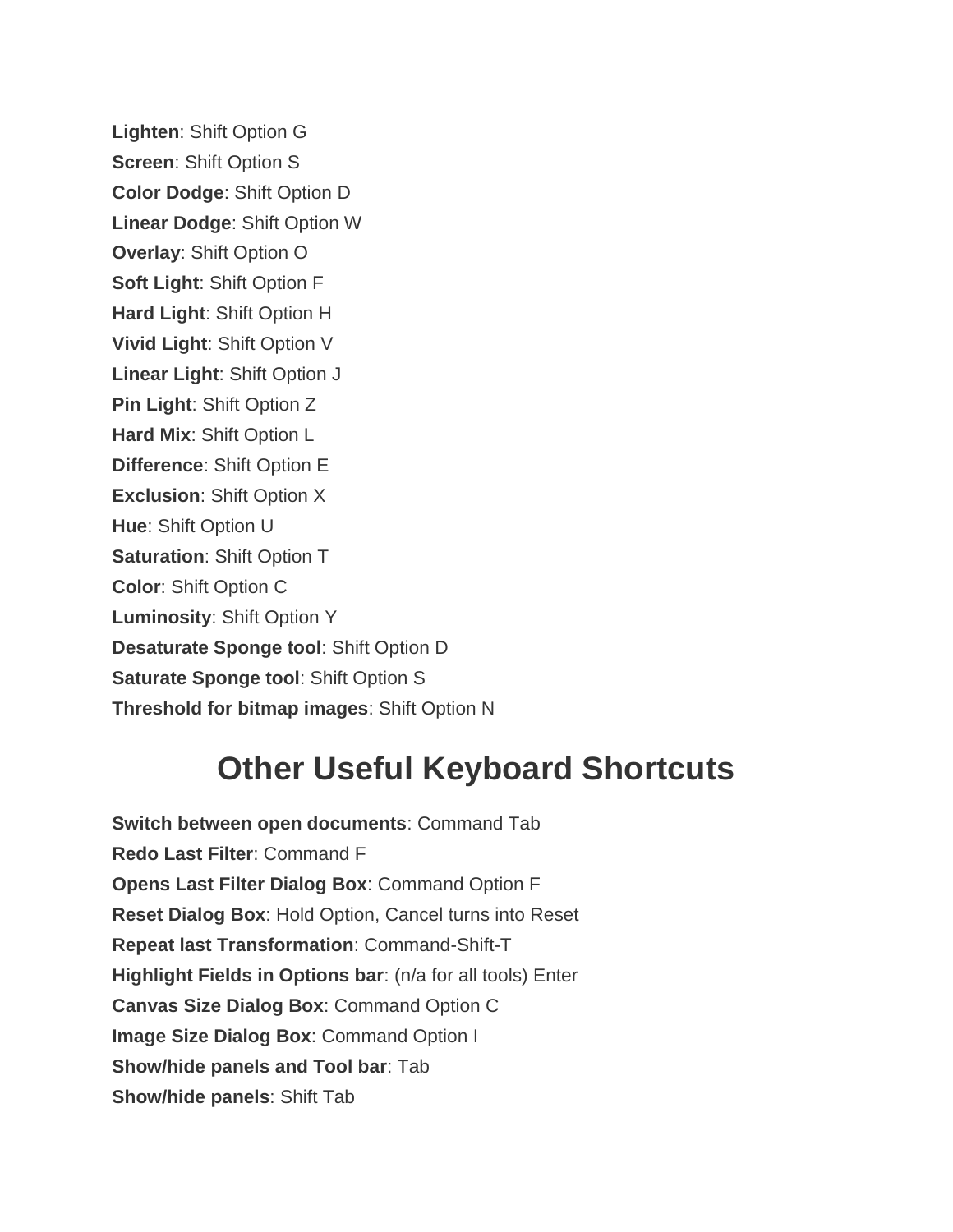**Lighten**: Shift Option G **Screen**: Shift Option S **Color Dodge**: Shift Option D **Linear Dodge**: Shift Option W **Overlay**: Shift Option O **Soft Light**: Shift Option F **Hard Light**: Shift Option H **Vivid Light**: Shift Option V **Linear Light**: Shift Option J **Pin Light**: Shift Option Z **Hard Mix**: Shift Option L **Difference**: Shift Option E **Exclusion**: Shift Option X **Hue**: Shift Option U **Saturation**: Shift Option T **Color**: Shift Option C **Luminosity**: Shift Option Y **Desaturate Sponge tool**: Shift Option D **Saturate Sponge tool**: Shift Option S **Threshold for bitmap images**: Shift Option N

# **Other Useful Keyboard Shortcuts**

**Switch between open documents**: Command Tab **Redo Last Filter**: Command F **Opens Last Filter Dialog Box**: Command Option F **Reset Dialog Box**: Hold Option, Cancel turns into Reset **Repeat last Transformation**: Command-Shift-T **Highlight Fields in Options bar**: (n/a for all tools) Enter **Canvas Size Dialog Box**: Command Option C **Image Size Dialog Box**: Command Option I **Show/hide panels and Tool bar**: Tab **Show/hide panels**: Shift Tab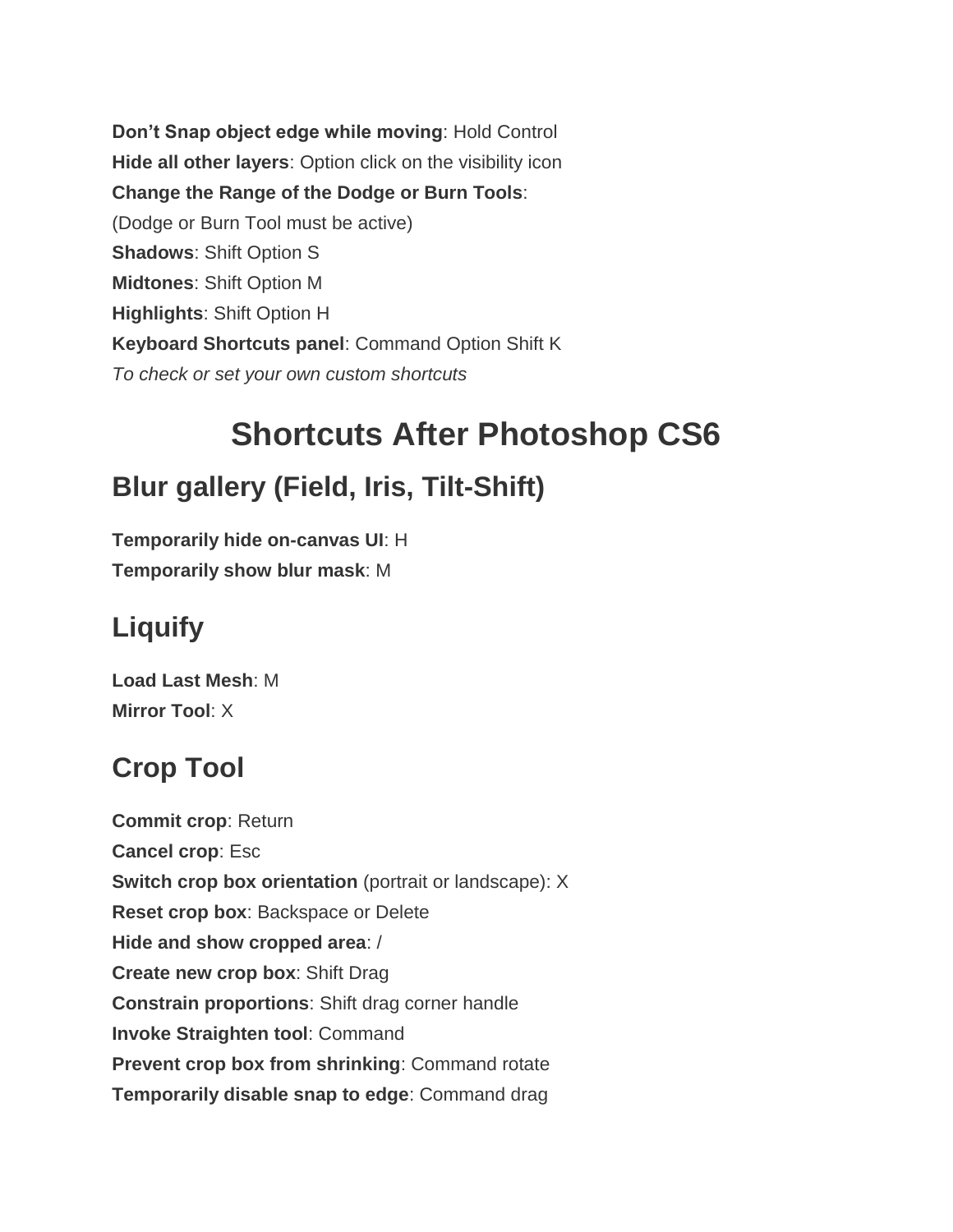**Don't Snap object edge while moving**: Hold Control **Hide all other layers**: Option click on the visibility icon **Change the Range of the Dodge or Burn Tools**: (Dodge or Burn Tool must be active) **Shadows**: Shift Option S **Midtones**: Shift Option M **Highlights**: Shift Option H **Keyboard Shortcuts panel**: Command Option Shift K *To check or set your own custom shortcuts*

# **Shortcuts After Photoshop CS6**

#### **Blur gallery (Field, Iris, Tilt-Shift)**

**Temporarily hide on-canvas UI**: H **Temporarily show blur mask**: M

## **Liquify**

**Load Last Mesh**: M **Mirror Tool**: X

## **Crop Tool**

**Commit crop**: Return **Cancel crop**: Esc **Switch crop box orientation** (portrait or landscape): X **Reset crop box**: Backspace or Delete **Hide and show cropped area**: / **Create new crop box**: Shift Drag **Constrain proportions**: Shift drag corner handle **Invoke Straighten tool**: Command **Prevent crop box from shrinking**: Command rotate **Temporarily disable snap to edge**: Command drag